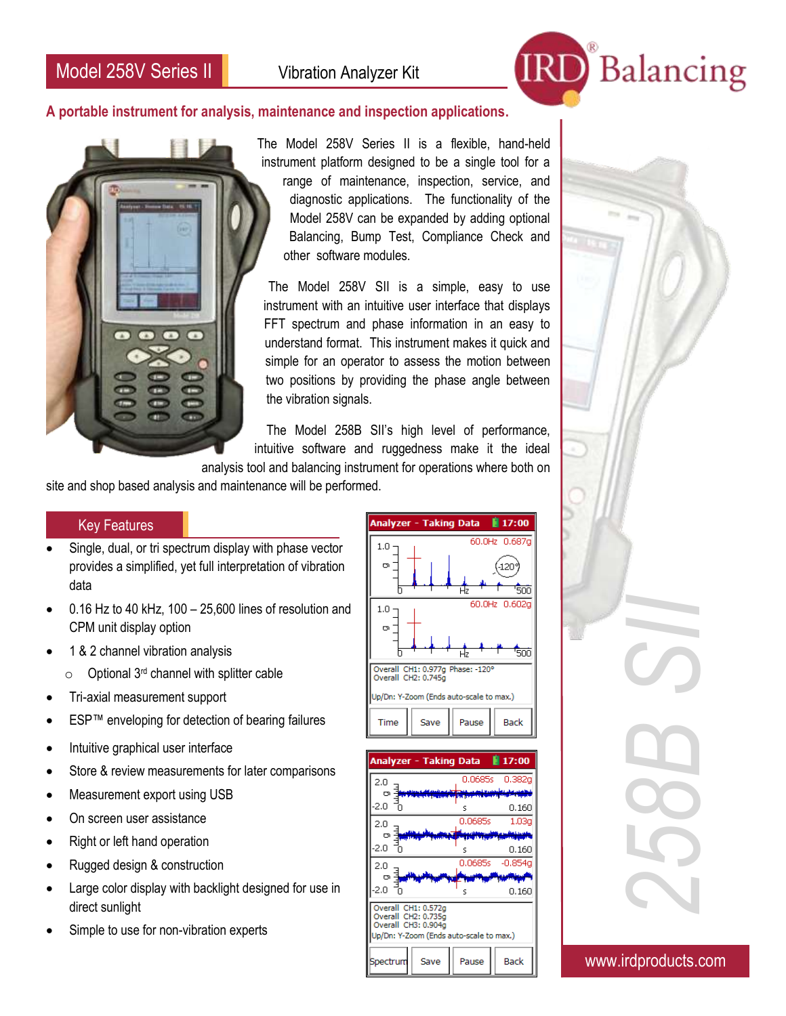

## **A portable instrument for analysis, maintenance and inspection applications.**



The Model 258V Series II is a flexible, hand-held instrument platform designed to be a single tool for a range of maintenance, inspection, service, and diagnostic applications. The functionality of the Model 258V can be expanded by adding optional Balancing, Bump Test, Compliance Check and other software modules.

The Model 258V SII is a simple, easy to use instrument with an intuitive user interface that displays FFT spectrum and phase information in an easy to understand format. This instrument makes it quick and simple for an operator to assess the motion between two positions by providing the phase angle between the vibration signals.

The Model 258B SII's high level of performance, intuitive software and ruggedness make it the ideal

analysis tool and balancing instrument for operations where both on

site and shop based analysis and maintenance will be performed.

## Key Features

- Single, dual, or tri spectrum display with phase vector provides a simplified, yet full interpretation of vibration data
- 0.16 Hz to 40 kHz, 100 25,600 lines of resolution and CPM unit display option
- 1 & 2 channel vibration analysis
	- $\circ$  Optional 3<sup>rd</sup> channel with splitter cable
- Tri-axial measurement support
- ESP™ enveloping for detection of bearing failures
- Intuitive graphical user interface
- Store & review measurements for later comparisons
- Measurement export using USB
- On screen user assistance
- Right or left hand operation
- Rugged design & construction
- Large color display with backlight designed for use in direct sunlight
- Simple to use for non-vibration experts





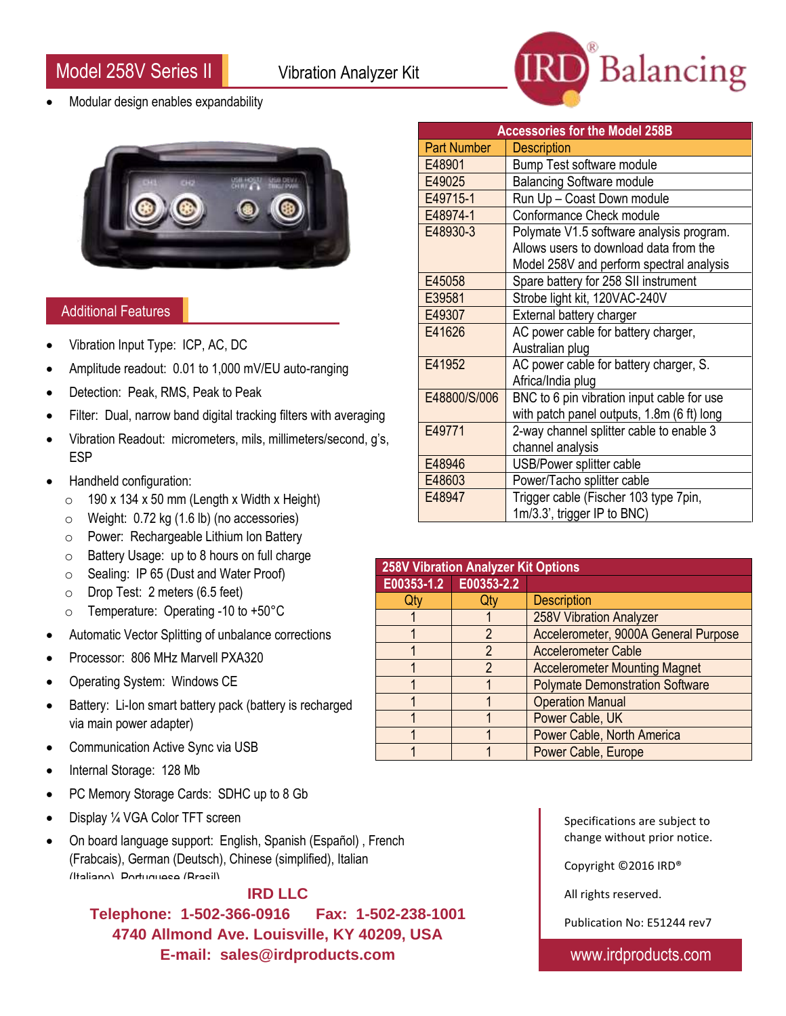j Model 258V Series II Vibration Analyzer Kit



Modular design enables expandability



## Additional Features

- Vibration Input Type: ICP, AC, DC
- Amplitude readout: 0.01 to 1,000 mV/EU auto-ranging
- Detection: Peak, RMS, Peak to Peak
- Filter: Dual, narrow band digital tracking filters with averaging
- Vibration Readout: micrometers, mils, millimeters/second, g's, ESP
- Handheld configuration:
	- $\circ$  190 x 134 x 50 mm (Length x Width x Height)
	- $\circ$  Weight: 0.72 kg (1.6 lb) (no accessories)
	- o Power: Rechargeable Lithium Ion Battery
	- o Battery Usage: up to 8 hours on full charge
	- o Sealing: IP 65 (Dust and Water Proof)
	- o Drop Test: 2 meters (6.5 feet)
	- o Temperature: Operating -10 to +50°C
- Automatic Vector Splitting of unbalance corrections
- Processor: 806 MHz Marvell PXA320
- Operating System: Windows CE
- Battery: Li-Ion smart battery pack (battery is recharged via main power adapter)
- Communication Active Sync via USB
- Internal Storage: 128 Mb
- PC Memory Storage Cards: SDHC up to 8 Gb
- Display ¼ VGA Color TFT screen
- On board language support: English, Spanish (Español) , French (Frabcais), German (Deutsch), Chinese (simplified), Italian (Italiano), Portuguese (Brasil)

## **IRD LLC**

**Telephone: 1-502-366-0916 Fax: 1-502-238-1001 4740 Allmond Ave. Louisville, KY 40209, USA E-mail: sales@irdproducts.com**

| <b>Accessories for the Model 258B</b> |                                                                                                                                |  |
|---------------------------------------|--------------------------------------------------------------------------------------------------------------------------------|--|
| <b>Part Number</b>                    | <b>Description</b>                                                                                                             |  |
| E48901                                | Bump Test software module                                                                                                      |  |
| E49025                                | <b>Balancing Software module</b>                                                                                               |  |
| E49715-1                              | Run Up - Coast Down module                                                                                                     |  |
| E48974-1                              | Conformance Check module                                                                                                       |  |
| E48930-3                              | Polymate V1.5 software analysis program.<br>Allows users to download data from the<br>Model 258V and perform spectral analysis |  |
| E45058                                | Spare battery for 258 SII instrument                                                                                           |  |
| E39581                                | Strobe light kit, 120VAC-240V                                                                                                  |  |
| E49307                                | External battery charger                                                                                                       |  |
| E41626                                | AC power cable for battery charger,<br>Australian plug                                                                         |  |
| E41952                                | AC power cable for battery charger, S.<br>Africa/India plug                                                                    |  |
| E48800/S/006                          | BNC to 6 pin vibration input cable for use<br>with patch panel outputs, 1.8m (6 ft) long                                       |  |
| E49771                                | 2-way channel splitter cable to enable 3<br>channel analysis                                                                   |  |
| E48946                                | USB/Power splitter cable                                                                                                       |  |
| E48603                                | Power/Tacho splitter cable                                                                                                     |  |
| E48947                                | Trigger cable (Fischer 103 type 7pin,<br>1m/3.3', trigger IP to BNC)                                                           |  |

| <b>258V Vibration Analyzer Kit Options</b> |   |                                        |  |
|--------------------------------------------|---|----------------------------------------|--|
| E00353-1.2 E00353-2.2                      |   |                                        |  |
| Qt                                         |   | <b>Description</b>                     |  |
|                                            |   | 258V Vibration Analyzer                |  |
|                                            |   | Accelerometer, 9000A General Purpose   |  |
|                                            | 2 | <b>Accelerometer Cable</b>             |  |
|                                            | 2 | <b>Accelerometer Mounting Magnet</b>   |  |
|                                            |   | <b>Polymate Demonstration Software</b> |  |
|                                            |   | <b>Operation Manual</b>                |  |
|                                            |   | Power Cable, UK                        |  |
|                                            |   | Power Cable, North America             |  |
|                                            |   | Power Cable, Europe                    |  |

Specifications are subject to change without prior notice.

Copyright ©2016 IRD®

All rights reserved.

Publication No: E51244 rev7

www.irdproducts.com